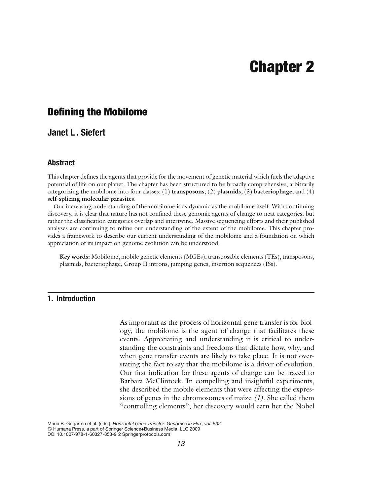# **Chapter 2**

# **Defining the Mobilome**

# **Janet L . Siefert**

#### **Abstract**

This chapter defines the agents that provide for the movement of genetic material which fuels the adaptive potential of life on our planet. The chapter has been structured to be broadly comprehensive, arbitrarily categorizing the mobilome into four classes: (1) **transposons**, (2) **plasmids**, (3) **bacteriophage**, and (4) **self-splicing molecular parasites**.

Our increasing understanding of the mobilome is as dynamic as the mobilome itself. With continuing discovery, it is clear that nature has not confined these genomic agents of change to neat categories, but rather the classification categories overlap and intertwine. Massive sequencing efforts and their published analyses are continuing to refine our understanding of the extent of the mobilome. This chapter provides a framework to describe our current understanding of the mobilome and a foundation on which appreciation of its impact on genome evolution can be understood.

**Key words:** Mobilome, mobile genetic elements (MGEs), transposable elements (TEs), transposons, plasmids, bacteriophage, Group II introns, jumping genes, insertion sequences (ISs).

# **1. Introduction**

As important as the process of horizontal gene transfer is for biology, the mobilome is the agent of change that facilitates these events. Appreciating and understanding it is critical to understanding the constraints and freedoms that dictate how, why, and when gene transfer events are likely to take place. It is not overstating the fact to say that the mobilome is a driver of evolution. Our first indication for these agents of change can be traced to Barbara McClintock. In compelling and insightful experiments, she described the mobile elements that were affecting the expressions of genes in the chromosomes of maize *(1)*. She called them "controlling elements"; her discovery would earn her the Nobel

Maria B. Gogarten et al. (eds.), *Horizontal Gene Transfer: Genomes in Flux, vol. 532* -C Humana Press, a part of Springer Science+Business Media, LLC 2009 DOI 10.1007/978-1-60327-853-9 2 Springerprotocols.com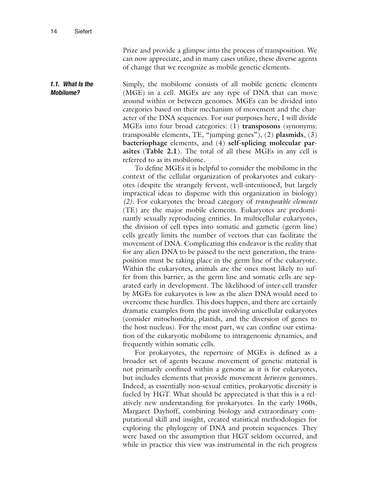**Mobilome?**

Prize and provide a glimpse into the process of transposition. We can now appreciate, and in many cases utilize, these diverse agents of change that we recognize as mobile genetic elements.

**1.1. What Is the** Simply, the mobilome consists of all mobile genetic elements (MGE) in a cell. MGEs are any type of DNA that can move around within or between genomes. MGEs can be divided into categories based on their mechanism of movement and the character of the DNA sequences. For our purposes here, I will divide MGEs into four broad categories: (1) **transposons** (synonyms: transposable elements, TE, "jumping genes"), (2) **plasmids**, (3) **bacteriophage** elements, and (4) **self-splicing molecular parasites** (**Table [2.1](#page-2-0)**). The total of all these MGEs in any cell is referred to as its mobilome.

> To define MGEs it is helpful to consider the mobilome in the context of the cellular organization of prokaryotes and eukaryotes (despite the strangely fervent, well-intentioned, but largely impractical ideas to dispense with this organization in biology) *(2)*. For eukaryotes the broad category of *transposable elements* (TE) are the major mobile elements. Eukaryotes are predominantly sexually reproducing entities. In multicellular eukaryotes, the division of cell types into somatic and gametic (germ line) cells greatly limits the number of vectors that can facilitate the movement of DNA. Complicating this endeavor is the reality that for any alien DNA to be passed to the next generation, the transposition must be taking place in the germ line of the eukaryote. Within the eukaryotes, animals are the ones most likely to suffer from this barrier, as the germ line and somatic cells are separated early in development. The likelihood of inter-cell transfer by MGEs for eukaryotes is low as the alien DNA would need to overcome these hurdles. This does happen, and there are certainly dramatic examples from the past involving unicellular eukaryotes (consider mitochondria, plastids, and the diversion of genes to the host nucleus). For the most part, we can confine our estimation of the eukaryotic mobilome to intragenomic dynamics, and frequently within somatic cells.

> For prokaryotes, the repertoire of MGEs is defined as a broader set of agents because movement of genetic material is not primarily confined within a genome as it is for eukaryotes, but includes elements that provide movement *between* genomes. Indeed, as essentially non-sexual entities, prokaryotic diversity is fueled by HGT. What should be appreciated is that this is a relatively new understanding for prokaryotes. In the early 1960s, Margaret Dayhoff, combining biology and extraordinary computational skill and insight, created statistical methodologies for exploring the phylogeny of DNA and protein sequences. They were based on the assumption that HGT seldom occurred, and while in practice this view was instrumental in the rich progress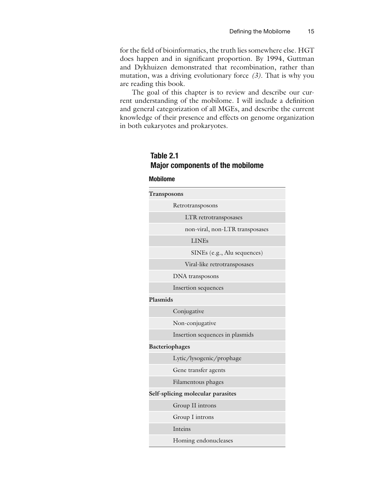for the field of bioinformatics, the truth lies somewhere else. HGT does happen and in significant proportion. By 1994, Guttman and Dykhuizen demonstrated that recombination, rather than mutation, was a driving evolutionary force *(3)*. That is why you are reading this book.

The goal of this chapter is to review and describe our current understanding of the mobilome. I will include a definition and general categorization of all MGEs, and describe the current knowledge of their presence and effects on genome organization in both eukaryotes and prokaryotes.

**Table 2.1**

# <span id="page-2-0"></span>**Major components of the mobilome Mobilome Transposons** Retrotransposons LTR retrotransposases non-viral, non-LTR transposases LINEs SINEs (e.g., Alu sequences) Viral-like retrotransposases DNA transposons Insertion sequences **Plasmids** Conjugative Non-conjugative Insertion sequences in plasmids **Bacteriophages** Lytic/lysogenic/prophage Gene transfer agents Filamentous phages **Self-splicing molecular parasites** Group II introns Group I introns Inteins Homing endonucleases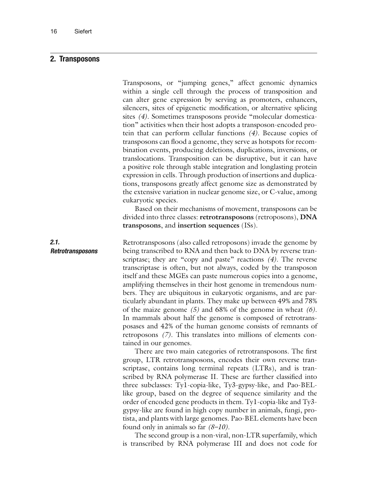#### **2. Transposons**

Transposons, or "jumping genes," affect genomic dynamics within a single cell through the process of transposition and can alter gene expression by serving as promoters, enhancers, silencers, sites of epigenetic modification, or alternative splicing sites *(4)*. Sometimes transposons provide "molecular domestication" activities when their host adopts a transposon-encoded protein that can perform cellular functions *(4)*. Because copies of transposons can flood a genome, they serve as hotspots for recombination events, producing deletions, duplications, inversions, or translocations. Transposition can be disruptive, but it can have a positive role through stable integration and longlasting protein expression in cells. Through production of insertions and duplications, transposons greatly affect genome size as demonstrated by the extensive variation in nuclear genome size, or C-value, among eukaryotic species.

Based on their mechanisms of movement, transposons can be divided into three classes: **retrotransposons** (retroposons), **DNA transposons**, and **insertion sequences** (ISs).

**2.1. Retrotransposons** Retrotransposons (also called retroposons) invade the genome by being transcribed to RNA and then back to DNA by reverse transcriptase; they are "copy and paste" reactions *(4)*. The reverse transcriptase is often, but not always, coded by the transposon itself and these MGEs can paste numerous copies into a genome, amplifying themselves in their host genome in tremendous numbers. They are ubiquitous in eukaryotic organisms, and are particularly abundant in plants. They make up between 49% and 78% of the maize genome *(5)* and 68% of the genome in wheat *(6)*. In mammals about half the genome is composed of retrotransposases and 42% of the human genome consists of remnants of retroposons *(7)*. This translates into millions of elements contained in our genomes.

> There are two main categories of retrotransposons. The first group, LTR retrotransposons, encodes their own reverse transcriptase, contains long terminal repeats (LTRs), and is transcribed by RNA polymerase II. These are further classified into three subclasses: Ty1-copia-like, Ty3-gypsy-like, and Pao-BELlike group, based on the degree of sequence similarity and the order of encoded gene products in them. Ty1-copia-like and Ty3 gypsy-like are found in high copy number in animals, fungi, protista, and plants with large genomes. Pao-BEL elements have been found only in animals so far *(8–10)*.

> The second group is a non-viral, non-LTR superfamily, which is transcribed by RNA polymerase III and does not code for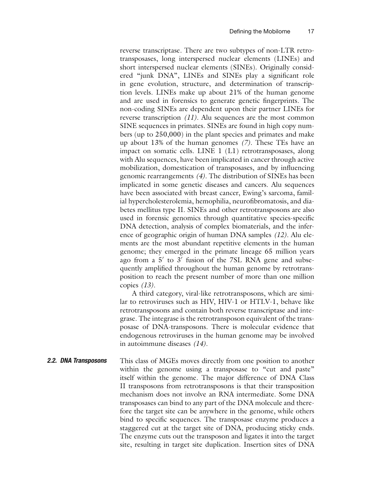reverse transcriptase. There are two subtypes of non-LTR retrotransposases, long interspersed nuclear elements (LINEs) and short interspersed nuclear elements (SINEs). Originally considered "junk DNA", LINEs and SINEs play a significant role in gene evolution, structure, and determination of transcription levels. LINEs make up about 21% of the human genome and are used in forensics to generate genetic fingerprints. The non-coding SINEs are dependent upon their partner LINEs for reverse transcription *(11)*. Alu sequences are the most common SINE sequences in primates. SINEs are found in high copy numbers (up to 250,000) in the plant species and primates and make up about 13% of the human genomes *(7)*. These TEs have an impact on somatic cells. LINE 1 (L1) retrotransposases, along with Alu sequences, have been implicated in cancer through active mobilization, domestication of transposases, and by influencing genomic rearrangements *(4)*. The distribution of SINEs has been implicated in some genetic diseases and cancers. Alu sequences have been associated with breast cancer, Ewing's sarcoma, familial hypercholesterolemia, hemophilia, neurofibromatosis, and diabetes mellitus type II. SINEs and other retrotransposons are also used in forensic genomics through quantitative species-specific DNA detection, analysis of complex biomaterials, and the inference of geographic origin of human DNA samples *(12)*. Alu elements are the most abundant repetitive elements in the human genome; they emerged in the primate lineage 65 million years ago from a  $5'$  to  $3'$  fusion of the 7SL RNA gene and subsequently amplified throughout the human genome by retrotransposition to reach the present number of more than one million copies *(13)*.

A third category, viral-like retrotransposons, which are similar to retroviruses such as HIV, HIV-1 or HTLV-1, behave like retrotransposons and contain both reverse transcriptase and integrase. The integrase is the retrotransposon equivalent of the transposase of DNA-transposons. There is molecular evidence that endogenous retroviruses in the human genome may be involved in autoimmune diseases *(14)*.

**2.2. DNA Transposons** This class of MGEs moves directly from one position to another within the genome using a transposase to "cut and paste" itself within the genome. The major difference of DNA Class II transposons from retrotransposons is that their transposition mechanism does not involve an RNA intermediate. Some DNA transposases can bind to any part of the DNA molecule and therefore the target site can be anywhere in the genome, while others bind to specific sequences. The transposase enzyme produces a staggered cut at the target site of DNA, producing sticky ends. The enzyme cuts out the transposon and ligates it into the target site, resulting in target site duplication. Insertion sites of DNA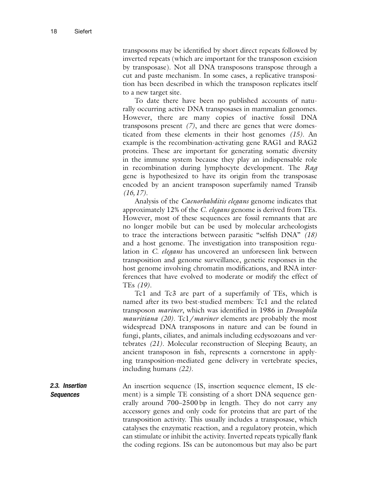transposons may be identified by short direct repeats followed by inverted repeats (which are important for the transposon excision by transposase). Not all DNA transposons transpose through a cut and paste mechanism. In some cases, a replicative transposition has been described in which the transposon replicates itself to a new target site.

To date there have been no published accounts of naturally occurring active DNA transposases in mammalian genomes. However, there are many copies of inactive fossil DNA transposons present *(7)*, and there are genes that were domesticated from these elements in their host genomes *(15)*. An example is the recombination-activating gene RAG1 and RAG2 proteins. These are important for generating somatic diversity in the immune system because they play an indispensable role in recombination during lymphocyte development. The *Rag* gene is hypothesized to have its origin from the transposase encoded by an ancient transposon superfamily named Transib *(16, 17)*.

Analysis of the *Caenorhabditis elegans* genome indicates that approximately 12% of the *C. elegans* genome is derived from TEs. However, most of these sequences are fossil remnants that are no longer mobile but can be used by molecular archeologists to trace the interactions between parasitic "selfish DNA" *(18)* and a host genome. The investigation into transposition regulation in *C. elegans* has uncovered an unforeseen link between transposition and genome surveillance, genetic responses in the host genome involving chromatin modifications, and RNA interferences that have evolved to moderate or modify the effect of TEs *(19)*.

Tc1 and Tc3 are part of a superfamily of TEs, which is named after its two best-studied members: Tc1 and the related transposon *mariner*, which was identified in 1986 in *Drosophila mauritiana (20)*. Tc1/*mariner* elements are probably the most widespread DNA transposons in nature and can be found in fungi, plants, ciliates, and animals including ecdysozoans and vertebrates *(21)*. Molecular reconstruction of Sleeping Beauty, an ancient transposon in fish, represents a cornerstone in applying transposition-mediated gene delivery in vertebrate species, including humans *(22)*.

**2.3. Insertion Sequences** An insertion sequence (IS, insertion sequence element, IS element) is a simple TE consisting of a short DNA sequence generally around 700–2500 bp in length. They do not carry any accessory genes and only code for proteins that are part of the transposition activity. This usually includes a transposase, which catalyses the enzymatic reaction, and a regulatory protein, which can stimulate or inhibit the activity. Inverted repeats typically flank the coding regions. ISs can be autonomous but may also be part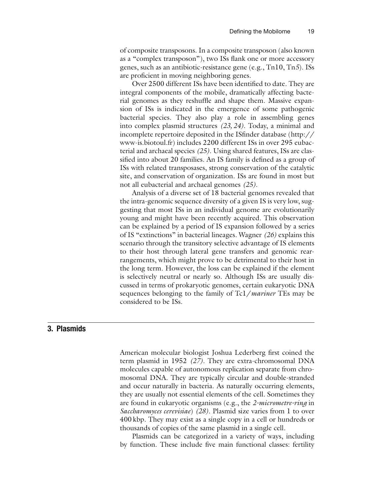of composite transposons. In a composite transposon (also known as a "complex transposon"), two ISs flank one or more accessory genes, such as an antibiotic-resistance gene (e.g., Tn10, Tn*5*). ISs are proficient in moving neighboring genes.

Over 2500 different ISs have been identified to date. They are integral components of the mobile, dramatically affecting bacterial genomes as they reshuffle and shape them. Massive expansion of ISs is indicated in the emergence of some pathogenic bacterial species. They also play a role in assembling genes into complex plasmid structures *(23, 24)*. Today, a minimal and incomplete repertoire deposited in the ISfinder database (http:// www-is.biotoul.fr) includes 2200 different ISs in over 295 eubacterial and archaeal species *(25)*. Using shared features, ISs are classified into about 20 families. An IS family is defined as a group of ISs with related transposases, strong conservation of the catalytic site, and conservation of organization. ISs are found in most but not all eubacterial and archaeal genomes *(25)*.

Analysis of a diverse set of 18 bacterial genomes revealed that the intra-genomic sequence diversity of a given IS is very low, suggesting that most ISs in an individual genome are evolutionarily young and might have been recently acquired. This observation can be explained by a period of IS expansion followed by a series of IS "extinctions" in bacterial lineages. Wagner *(26)* explains this scenario through the transitory selective advantage of IS elements to their host through lateral gene transfers and genomic rearrangements, which might prove to be detrimental to their host in the long term. However, the loss can be explained if the element is selectively neutral or nearly so. Although ISs are usually discussed in terms of prokaryotic genomes, certain eukaryotic DNA sequences belonging to the family of Tc1/*mariner* TEs may be considered to be ISs.

## **3. Plasmids**

American molecular biologist Joshua Lederberg first coined the term plasmid in 1952 *(27)*. They are extra-chromosomal DNA molecules capable of autonomous replication separate from chromosomal DNA. They are typically circular and double-stranded and occur naturally in bacteria. As naturally occurring elements, they are usually not essential elements of the cell. Sometimes they are found in eukaryotic organisms (e.g., the *2-micrometre-ring* in *Saccharomyces cerevisiae*) *(28)*. Plasmid size varies from 1 to over 400 kbp. They may exist as a single copy in a cell or hundreds or thousands of copies of the same plasmid in a single cell.

Plasmids can be categorized in a variety of ways, including by function. These include five main functional classes: fertility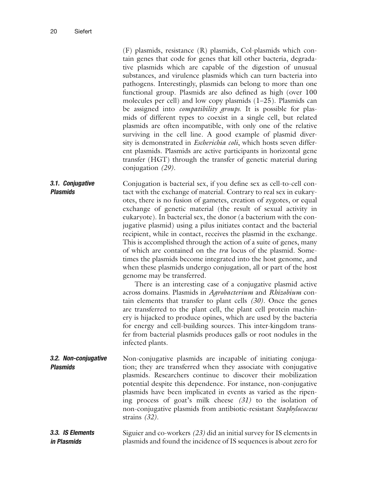(F) plasmids, resistance (R) plasmids, Col-plasmids which contain genes that code for genes that kill other bacteria, degradative plasmids which are capable of the digestion of unusual substances, and virulence plasmids which can turn bacteria into pathogens. Interestingly, plasmids can belong to more than one functional group. Plasmids are also defined as high (over 100 molecules per cell) and low copy plasmids (1–25). Plasmids can be assigned into *compatibility groups*. It is possible for plasmids of different types to coexist in a single cell, but related plasmids are often incompatible, with only one of the relative surviving in the cell line. A good example of plasmid diversity is demonstrated in *Escherichia coli*, which hosts seven different plasmids. Plasmids are active participants in horizontal gene transfer (HGT) through the transfer of genetic material during conjugation *(29)*.

**3.1. Conjugative Plasmids** Conjugation is bacterial sex, if you define sex as cell-to-cell contact with the exchange of material. Contrary to real sex in eukaryotes, there is no fusion of gametes, creation of zygotes, or equal exchange of genetic material (the result of sexual activity in eukaryote). In bacterial sex, the donor (a bacterium with the conjugative plasmid) using a pilus initiates contact and the bacterial recipient, while in contact, receives the plasmid in the exchange. This is accomplished through the action of a suite of genes, many of which are contained on the *tra* locus of the plasmid. Sometimes the plasmids become integrated into the host genome, and when these plasmids undergo conjugation, all or part of the host genome may be transferred.

There is an interesting case of a conjugative plasmid active across domains. Plasmids in *Agrobacterium* and *Rhizobium* contain elements that transfer to plant cells *(30)*. Once the genes are transferred to the plant cell, the plant cell protein machinery is hijacked to produce opines, which are used by the bacteria for energy and cell-building sources. This inter-kingdom transfer from bacterial plasmids produces galls or root nodules in the infected plants.

**3.2. Non-conjugative Plasmids** Non-conjugative plasmids are incapable of initiating conjugation; they are transferred when they associate with conjugative plasmids. Researchers continue to discover their mobilization potential despite this dependence. For instance, non-conjugative plasmids have been implicated in events as varied as the ripening process of goat's milk cheese *(31)* to the isolation of non-conjugative plasmids from antibiotic-resistant *Staphylococcus* strains *(32)*.

**3.3. IS Elements in Plasmids** Siguier and co-workers *(23)* did an initial survey for IS elements in plasmids and found the incidence of IS sequences is about zero for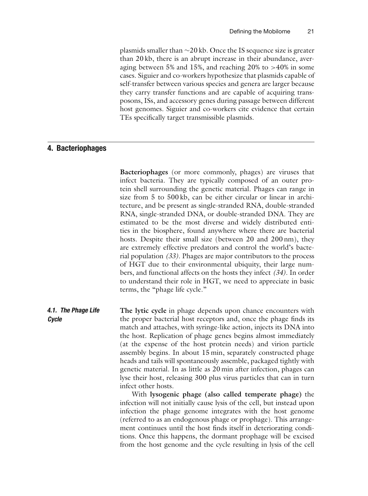plasmids smaller than ∼20 kb. Once the IS sequence size is greater than 20 kb, there is an abrupt increase in their abundance, averaging between 5% and 15%, and reaching 20% to >40% in some cases. Siguier and co-workers hypothesize that plasmids capable of self-transfer between various species and genera are larger because they carry transfer functions and are capable of acquiring transposons, ISs, and accessory genes during passage between different host genomes. Siguier and co-workers cite evidence that certain TEs specifically target transmissible plasmids.

#### **4. Bacteriophages**

**Bacteriophages** (or more commonly, phages) are viruses that infect bacteria. They are typically composed of an outer protein shell surrounding the genetic material. Phages can range in size from 5 to 500 kb, can be either circular or linear in architecture, and be present as single-stranded RNA, double-stranded RNA, single-stranded DNA, or double-stranded DNA. They are estimated to be the most diverse and widely distributed entities in the biosphere, found anywhere where there are bacterial hosts. Despite their small size (between 20 and 200 nm), they are extremely effective predators and control the world's bacterial population *(33)*. Phages are major contributors to the process of HGT due to their environmental ubiquity, their large numbers, and functional affects on the hosts they infect *(34)*. In order to understand their role in HGT, we need to appreciate in basic terms, the "phage life cycle."

**4.1. The Phage Life Cycle The lytic cycle** in phage depends upon chance encounters with the proper bacterial host receptors and, once the phage finds its match and attaches, with syringe-like action, injects its DNA into the host. Replication of phage genes begins almost immediately (at the expense of the host protein needs) and virion particle assembly begins. In about 15 min, separately constructed phage heads and tails will spontaneously assemble, packaged tightly with genetic material. In as little as 20 min after infection, phages can lyse their host, releasing 300 plus virus particles that can in turn infect other hosts.

With **lysogenic phage (also called temperate phage)** the infection will not initially cause lysis of the cell, but instead upon infection the phage genome integrates with the host genome (referred to as an endogenous phage or prophage). This arrangement continues until the host finds itself in deteriorating conditions. Once this happens, the dormant prophage will be excised from the host genome and the cycle resulting in lysis of the cell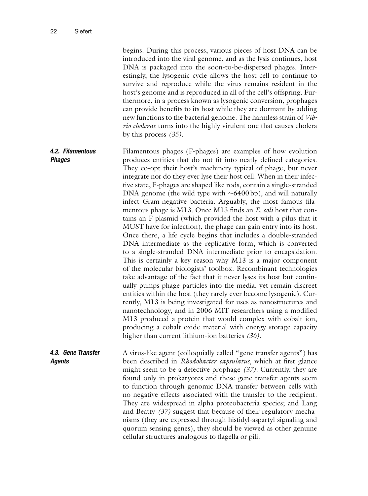begins. During this process, various pieces of host DNA can be introduced into the viral genome, and as the lysis continues, host DNA is packaged into the soon-to-be-dispersed phages. Interestingly, the lysogenic cycle allows the host cell to continue to survive and reproduce while the virus remains resident in the host's genome and is reproduced in all of the cell's offspring. Furthermore, in a process known as lysogenic conversion, prophages can provide benefits to its host while they are dormant by adding new functions to the bacterial genome. The harmless strain of *Vibrio cholerae* turns into the highly virulent one that causes cholera by this process *(35)*.

**4.2. Filamentous Phages** Filamentous phages (F-phages) are examples of how evolution produces entities that do not fit into neatly defined categories. They co-opt their host's machinery typical of phage, but never integrate nor do they ever lyse their host cell. When in their infective state, F-phages are shaped like rods, contain a single-stranded DNA genome (the wild type with ∼6400 bp), and will naturally infect Gram-negative bacteria. Arguably, the most famous filamentous phage is M13. Once M13 finds an *E. coli* host that contains an F plasmid (which provided the host with a pilus that it MUST have for infection), the phage can gain entry into its host. Once there, a life cycle begins that includes a double-stranded DNA intermediate as the replicative form, which is converted to a single-stranded DNA intermediate prior to encapsidation. This is certainly a key reason why M13 is a major component of the molecular biologists' toolbox. Recombinant technologies take advantage of the fact that it never lyses its host but continually pumps phage particles into the media, yet remain discreet entities within the host (they rarely ever become lysogenic). Currently, M13 is being investigated for uses as nanostructures and nanotechnology, and in 2006 MIT researchers using a modified M13 produced a protein that would complex with cobalt ion, producing a cobalt oxide material with energy storage capacity higher than current lithium-ion batteries *(36)*. **4.3. Gene Transfer Agents** A virus-like agent (colloquially called "gene transfer agents") has been described in *Rhodobacter capsulatus*, which at first glance might seem to be a defective prophage *(37)*. Currently, they are

found only in prokaryotes and these gene transfer agents seem to function through genomic DNA transfer between cells with no negative effects associated with the transfer to the recipient. They are widespread in alpha proteobacteria species; and Lang and Beatty *(37)* suggest that because of their regulatory mechanisms (they are expressed through histidyl-aspartyl signaling and quorum sensing genes), they should be viewed as other genuine cellular structures analogous to flagella or pili.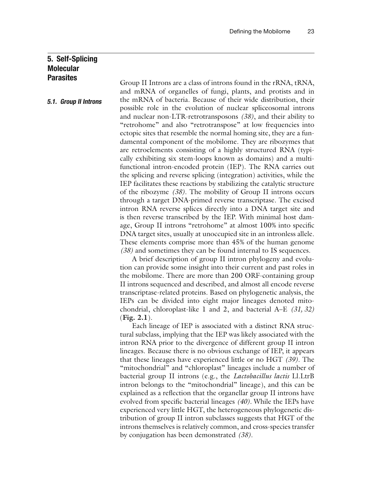## **5. Self-Splicing Molecular Parasites**

**5.1. Group II Introns**

Group II Introns are a class of introns found in the rRNA, tRNA, and mRNA of organelles of fungi, plants, and protists and in the mRNA of bacteria. Because of their wide distribution, their possible role in the evolution of nuclear spliceosomal introns and nuclear non-LTR-retrotransposons *(38)*, and their ability to "retrohome" and also "retrotranspose" at low frequencies into ectopic sites that resemble the normal homing site, they are a fundamental component of the mobilome. They are ribozymes that are retroelements consisting of a highly structured RNA (typically exhibiting six stem-loops known as domains) and a multifunctional intron-encoded protein (IEP). The RNA carries out the splicing and reverse splicing (integration) activities, while the IEP facilitates these reactions by stabilizing the catalytic structure of the ribozyme *(38)*. The mobility of Group II introns occurs through a target DNA-primed reverse transcriptase. The excised intron RNA reverse splices directly into a DNA target site and is then reverse transcribed by the IEP. With minimal host damage, Group II introns "retrohome" at almost 100% into specific DNA target sites, usually at unoccupied site in an intronless allele. These elements comprise more than 45% of the human genome *(38)* and sometimes they can be found internal to IS sequences.

A brief description of group II intron phylogeny and evolution can provide some insight into their current and past roles in the mobilome. There are more than 200 ORF-containing group II introns sequenced and described, and almost all encode reverse transcriptase-related proteins. Based on phylogenetic analysis, the IEPs can be divided into eight major lineages denoted mitochondrial, chloroplast-like 1 and 2, and bacterial A–E *(31, 32)* (**Fig. [2.1](#page-11-0)**).

Each lineage of IEP is associated with a distinct RNA structural subclass, implying that the IEP was likely associated with the intron RNA prior to the divergence of different group II intron lineages. Because there is no obvious exchange of IEP, it appears that these lineages have experienced little or no HGT *(39)*. The "mitochondrial" and "chloroplast" lineages include a number of bacterial group II introns (e.g., the *Lactobacillus lactis* Ll.LtrB intron belongs to the "mitochondrial" lineage), and this can be explained as a reflection that the organellar group II introns have evolved from specific bacterial lineages *(40)*. While the IEPs have experienced very little HGT, the heterogeneous phylogenetic distribution of group II intron subclasses suggests that HGT of the introns themselves is relatively common, and cross-species transfer by conjugation has been demonstrated *(38)*.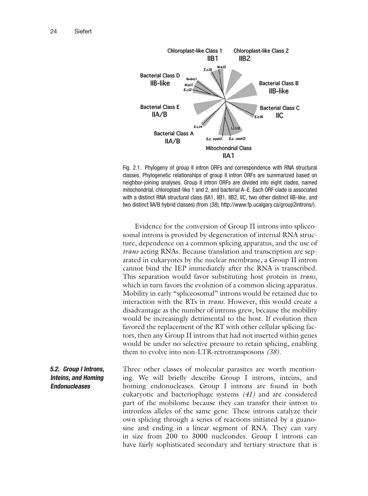

<span id="page-11-0"></span>Fig. 2.1. Phylogeny of group II intron ORFs and correspondence with RNA structural classes. Phylogenetic relationships of group II intron ORFs are summarized based on neighbor-joining analyses. Group II intron ORFs are divided into eight clades, named mitochondrial, chloroplast-like 1 and 2, and bacterial A–E. Each ORF clade is associated with a distinct RNA structural class (IIA1, IIB1, IIB2, IIC, two other distinct IIB-like, and two distinct IIA/B hybrid classes) (from (38), http://www.fp.ucalgary.ca/group2introns/).

Evidence for the conversion of Group II introns into spliceosomal introns is provided by degeneration of internal RNA structure, dependence on a common splicing apparatus, and the use of *trans*-acting RNAs. Because translation and transcription are separated in eukaryotes by the nuclear membrane, a Group II intron cannot bind the IEP immediately after the RNA is transcribed. This separation would favor substituting host protein in *trans*, which in turn favors the evolution of a common slicing apparatus. Mobility in early "spliceosomal" introns would be retained due to interaction with the RTs in *trans*. However, this would create a disadvantage as the number of introns grew, because the mobility would be increasingly detrimental to the host. If evolution then favored the replacement of the RT with other cellular splicing factors, then any Group II introns that had not inserted within genes would be under no selective pressure to retain splicing, enabling them to evolve into non-LTR-retrotransposons *(38)*.

**5.2. Group I Introns, Inteins, and Homing Endonucleases** Three other classes of molecular parasites are worth mentioning. We will briefly describe Group I introns, inteins, and homing endonucleases. Group I introns are found in both eukaryotic and bacteriophage systems *(41)* and are considered part of the mobilome because they can transfer their intron to intronless alleles of the same gene. These introns catalyze their own splicing through a series of reactions initiated by a guanosine and ending in a linear segment of RNA. They can vary in size from 200 to 3000 nucleotides. Group I introns can have fairly sophisticated secondary and tertiary structure that is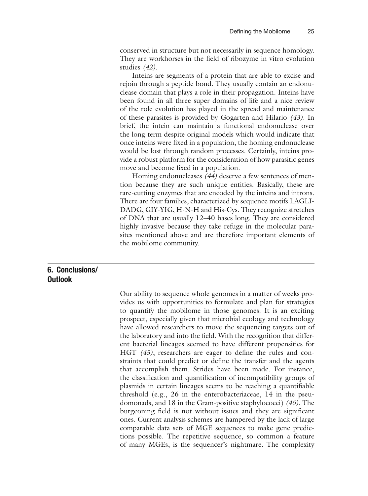conserved in structure but not necessarily in sequence homology. They are workhorses in the field of ribozyme in vitro evolution studies *(42)*.

Inteins are segments of a protein that are able to excise and rejoin through a peptide bond. They usually contain an endonuclease domain that plays a role in their propagation. Inteins have been found in all three super domains of life and a nice review of the role evolution has played in the spread and maintenance of these parasites is provided by Gogarten and Hilario *(43)*. In brief, the intein can maintain a functional endonuclease over the long term despite original models which would indicate that once inteins were fixed in a population, the homing endonuclease would be lost through random processes. Certainly, inteins provide a robust platform for the consideration of how parasitic genes move and become fixed in a population.

Homing endonucleases *(44)* deserve a few sentences of mention because they are such unique entities. Basically, these are rare-cutting enzymes that are encoded by the inteins and introns. There are four families, characterized by sequence motifs LAGLI-DADG, GIY-YIG, H-N-H and His-Cys. They recognize stretches of DNA that are usually 12–40 bases long. They are considered highly invasive because they take refuge in the molecular parasites mentioned above and are therefore important elements of the mobilome community.

### **6. Conclusions/ Outlook**

Our ability to sequence whole genomes in a matter of weeks provides us with opportunities to formulate and plan for strategies to quantify the mobilome in those genomes. It is an exciting prospect, especially given that microbial ecology and technology have allowed researchers to move the sequencing targets out of the laboratory and into the field. With the recognition that different bacterial lineages seemed to have different propensities for HGT *(45)*, researchers are eager to define the rules and constraints that could predict or define the transfer and the agents that accomplish them. Strides have been made. For instance, the classification and quantification of incompatibility groups of plasmids in certain lineages seems to be reaching a quantifiable threshold (e.g., 26 in the enterobacteriaceae, 14 in the pseudomonads, and 18 in the Gram-positive staphylococci) *(46)*. The burgeoning field is not without issues and they are significant ones. Current analysis schemes are hampered by the lack of large comparable data sets of MGE sequences to make gene predictions possible. The repetitive sequence, so common a feature of many MGEs, is the sequencer's nightmare. The complexity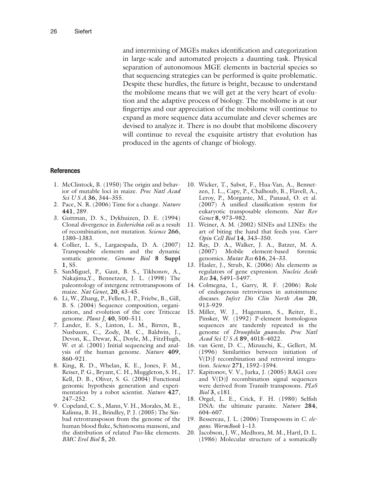and intermixing of MGEs makes identification and categorization in large-scale and automated projects a daunting task. Physical separation of autonomous MGE elements in bacterial species so that sequencing strategies can be performed is quite problematic. Despite these hurdles, the future is bright, because to understand the mobilome means that we will get at the very heart of evolution and the adaptive process of biology. The mobilome is at our fingertips and our appreciation of the mobilome will continue to expand as more sequence data accumulate and clever schemes are devised to analyze it. There is no doubt that mobilome discovery will continue to reveal the exquisite artistry that evolution has produced in the agents of change of biology.

#### **References**

- 1. McClintock, B. (1950) The origin and behavior of mutable loci in maize. *Proc Natl Acad Sci U S A* **36**, 344–355.
- 2. Pace, N. R. (2006) Time for a change. *Nature* **441**, 289.
- 3. Guttman, D. S., Dykhuizen, D. E. (1994) Clonal divergence in *Escherichia coli* as a result of recombination, not mutation. *Science* **266**, 1380–1383.
- 4. Collier, L. S., Largaespada, D. A. (2007) Transposable elements and the dynamic somatic genome. *Genome Biol* **8 Suppl 1**, S5.
- 5. SanMiguel, P., Gaut, B. S., Tikhonov, A., Nakajima,Y., Bennetzen, J. L. (1998) The paleontology of intergene retrotransposons of maize. *Nat Genet*, **20**, 43–45.
- 6. Li, W., Zhang, P., Fellers, J. P., Friebe, B., Gill, B. S. (2004) Sequence composition, organization, and evolution of the core Triticeae genome. *Plant J*, **40**, 500–511.
- 7. Lander, E. S., Linton, L. M., Birren, B., Nusbaum, C., Zody, M. C., Baldwin, J., Devon, K., Dewar, K., Doyle, M., FitzHugh, W. et al. (2001) Initial sequencing and analysis of the human genome. *Nature* **409**, 860–921.
- 8. King, R. D., Whelan, K. E., Jones, F. M., Reiser, P. G., Bryant, C. H., Muggleton, S. H., Kell, D. B., Oliver, S. G. (2004) Functional genomic hypothesis generation and experimentation by a robot scientist. *Nature* **427**, 247–252.
- 9. Copeland, C. S., Mann, V. H., Morales, M. E., Kalinna, B. H., Brindley, P. J. (2005) The Sinbad retrotransposon from the genome of the human blood fluke, Schistosoma mansoni, and the distribution of related Pao-like elements. *BMC Evol Biol* **5**, 20.
- 10. Wicker, T., Sabot, F., Hua-Van, A., Bennetzen, J. L., Capy, P., Chalhoub, B., Flavell, A., Leroy, P., Morgante, M., Panaud, O. et al. (2007) A unified classification system for eukaryotic transposable elements. *Nat Rev Genet* **8**, 973–982.
- 11. Weiner, A. M. (2002) SINEs and LINEs: the art of biting the hand that feeds you. *Curr Opin Cell Biol* **14**, 343–350.
- 12. Ray, D. A., Walker, J. A., Batzer, M. A. (2007) Mobile element-based forensic genomics. *Mutat Res* **616**, 24–33.
- 13. Hasler, J., Strub, K. (2006) Alu elements as regulators of gene expression. *Nucleic Acids Res* **34**, 5491–5497.
- 14. Colmegna, I., Garry, R. F. (2006) Role of endogenous retroviruses in autoimmune diseases. *Infect Dis Clin North Am* **20**, 913–929.
- 15. Miller, W. J., Hagemann, S., Reiter, E., Pinsker, W. (1992) P-element homologous sequences are tandemly repeated in the genome of *Drosophila guanche. Proc Natl Acad Sci U S A* **89**, 4018–4022.
- 16. van Gent, D. C., Mizuuchi, K., Gellert, M. (1996) Similarities between initiation of V(D)J recombination and retroviral integration. *Science* **271**, 1592–1594.
- 17. Kapitonov, V. V., Jurka, J. (2005) RAG1 core and V(D)J recombination signal sequences were derived from Transib transposons. *PLoS Biol* **3**, e181.
- 18. Orgel, L. E., Crick, F. H. (1980) Selfish DNA: the ultimate parasite. *Nature* **284**, 604–607.
- 19. Bessereau, J. L. (2006) Transposons in *C. elegans. WormBook* 1–13.
- 20. Jacobson, J. W., Medhora, M. M., Hartl, D. L. (1986) Molecular structure of a somatically